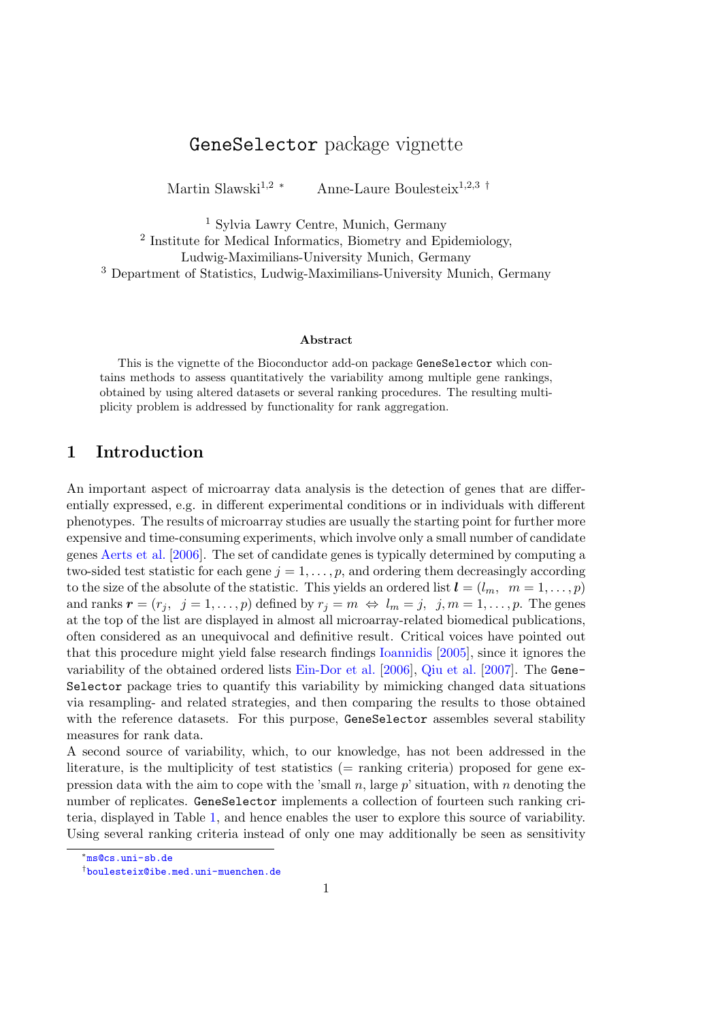# GeneSelector package vignette

Martin Slawski<sup>1,2</sup> \* Anne-Laure Boulesteix<sup>1,2,3</sup> †

 Sylvia Lawry Centre, Munich, Germany Institute for Medical Informatics, Biometry and Epidemiology, Ludwig-Maximilians-University Munich, Germany Department of Statistics, Ludwig-Maximilians-University Munich, Germany

#### Abstract

This is the vignette of the Bioconductor add-on package GeneSelector which contains methods to assess quantitatively the variability among multiple gene rankings, obtained by using altered datasets or several ranking procedures. The resulting multiplicity problem is addressed by functionality for rank aggregation.

### 1 Introduction

An important aspect of microarray data analysis is the detection of genes that are differentially expressed, e.g. in different experimental conditions or in individuals with different phenotypes. The results of microarray studies are usually the starting point for further more expensive and time-consuming experiments, which involve only a small number of candidate genes [Aerts et al.](#page-13-0) [\[2006\]](#page-13-0). The set of candidate genes is typically determined by computing a two-sided test statistic for each gene  $j = 1, \ldots, p$ , and ordering them decreasingly according to the size of the absolute of the statistic. This yields an ordered list  $\mathbf{l} = (l_m, m = 1, \ldots, p)$ and ranks  $\mathbf{r} = (r_j, j = 1, \ldots, p)$  defined by  $r_j = m \Leftrightarrow l_m = j, j, m = 1, \ldots, p$ . The genes at the top of the list are displayed in almost all microarray-related biomedical publications, often considered as an unequivocal and definitive result. Critical voices have pointed out that this procedure might yield false research findings [Ioannidis](#page-13-1) [\[2005\]](#page-13-1), since it ignores the variability of the obtained ordered lists [Ein-Dor et al.](#page-13-2) [\[2006\]](#page-13-2), [Qiu et al.](#page-13-3) [\[2007\]](#page-13-3). The Gene-Selector package tries to quantify this variability by mimicking changed data situations via resampling- and related strategies, and then comparing the results to those obtained with the reference datasets. For this purpose, GeneSelector assembles several stability measures for rank data.

A second source of variability, which, to our knowledge, has not been addressed in the literature, is the multiplicity of test statistics (= ranking criteria) proposed for gene expression data with the aim to cope with the 'small n, large  $p$ ' situation, with n denoting the number of replicates. GeneSelector implements a collection of fourteen such ranking criteria, displayed in Table [1,](#page-1-0) and hence enables the user to explore this source of variability. Using several ranking criteria instead of only one may additionally be seen as sensitivity

<sup>∗</sup> <ms@cs.uni-sb.de>

<sup>†</sup> <boulesteix@ibe.med.uni-muenchen.de>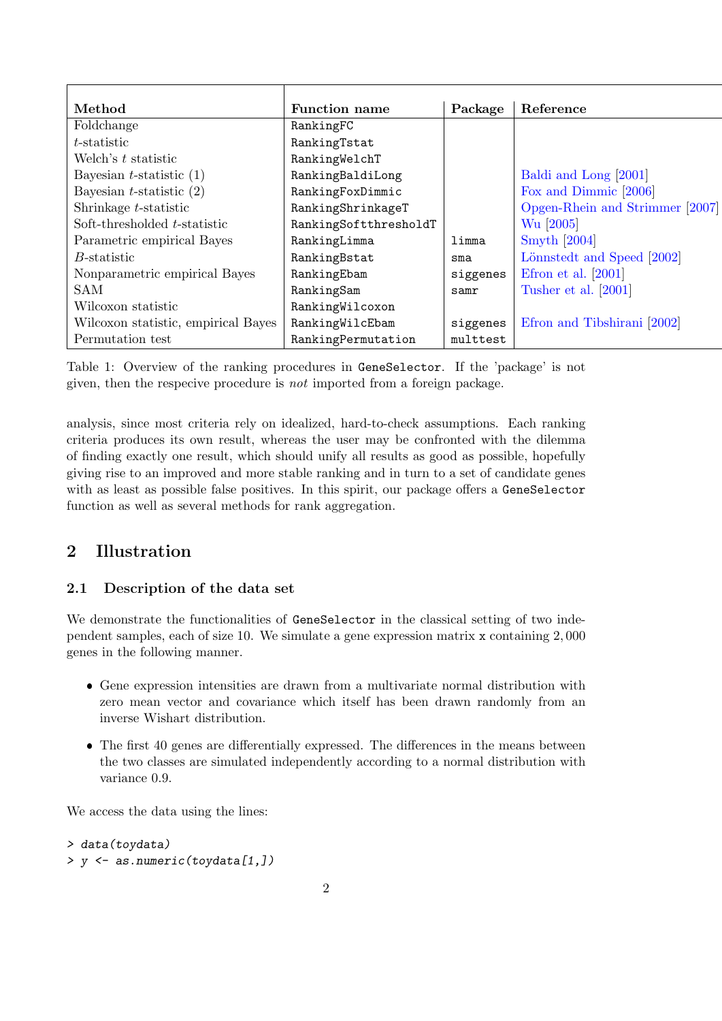| Method                              | <b>Function name</b>  | Package  | Reference                       |
|-------------------------------------|-----------------------|----------|---------------------------------|
| Foldchange                          | RankingFC             |          |                                 |
| t-statistic                         | RankingTstat          |          |                                 |
| Welch's t statistic                 | RankingWelchT         |          |                                 |
| Bayesian $t$ -statistic $(1)$       | RankingBaldiLong      |          | Baldi and Long [2001]           |
| Bayesian $t$ -statistic $(2)$       | RankingFoxDimmic      |          | Fox and Dimmic [2006]           |
| Shrinkage t-statistic               | RankingShrinkageT     |          | Opgen-Rhein and Strimmer [2007] |
| Soft-thresholded t-statistic        | RankingSoftthresholdT |          | Wu [2005]                       |
| Parametric empirical Bayes          | RankingLimma          | limma    | <b>Smyth</b> [2004]             |
| <i>B</i> -statistic                 | RankingBstat          | $s$ ma   | Lönnstedt and Speed [2002]      |
| Nonparametric empirical Bayes       | RankingEbam           | siggenes | Efron et al. $[2001]$           |
| <b>SAM</b>                          | RankingSam            | samr     | Tusher et al. [2001]            |
| Wilcoxon statistic                  | RankingWilcoxon       |          |                                 |
| Wilcoxon statistic, empirical Bayes | RankingWilcEbam       | siggenes | Efron and Tibshirani [2002]     |
| Permutation test                    | RankingPermutation    | multtest |                                 |

<span id="page-1-0"></span>Table 1: Overview of the ranking procedures in GeneSelector. If the 'package' is not given, then the respecive procedure is not imported from a foreign package.

analysis, since most criteria rely on idealized, hard-to-check assumptions. Each ranking criteria produces its own result, whereas the user may be confronted with the dilemma of finding exactly one result, which should unify all results as good as possible, hopefully giving rise to an improved and more stable ranking and in turn to a set of candidate genes with as least as possible false positives. In this spirit, our package offers a GeneSelector function as well as several methods for rank aggregation.

## 2 Illustration

### 2.1 Description of the data set

We demonstrate the functionalities of GeneSelector in the classical setting of two independent samples, each of size 10. We simulate a gene expression matrix x containing 2, 000 genes in the following manner.

- Gene expression intensities are drawn from a multivariate normal distribution with zero mean vector and covariance which itself has been drawn randomly from an inverse Wishart distribution.
- The first 40 genes are differentially expressed. The differences in the means between the two classes are simulated independently according to a normal distribution with variance 0.9.

We access the data using the lines:

```
> data(toydata)
> y <- as.numeric(toydata[1,])
```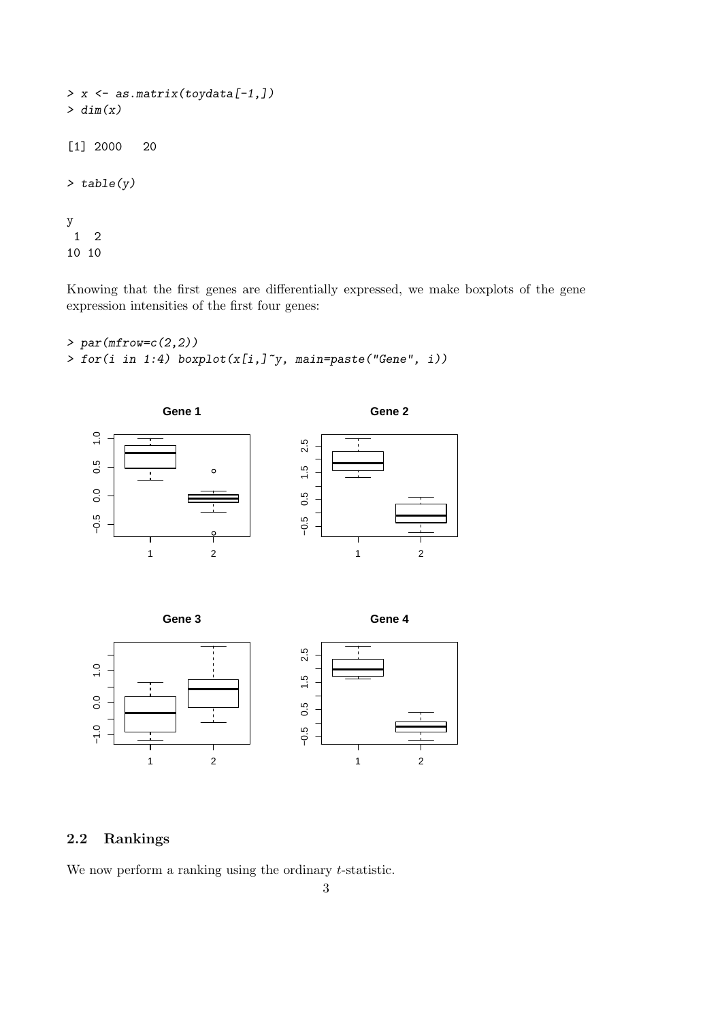```
> x <- as.matrix(toydata[-1,])
> dim(x)[1] 2000 20
> table(y)
y
 1 2
10 10
```
Knowing that the first genes are differentially expressed, we make boxplots of the gene expression intensities of the first four genes:

```
> par(mfrow=c(2,2))\frac{1}{\sqrt{r}} for(i in 1:4) boxplot(x[i,]<sup>\sim</sup>y, main=paste("Gene", i))
```




## 2.2 Rankings

We now perform a ranking using the ordinary *t*-statistic.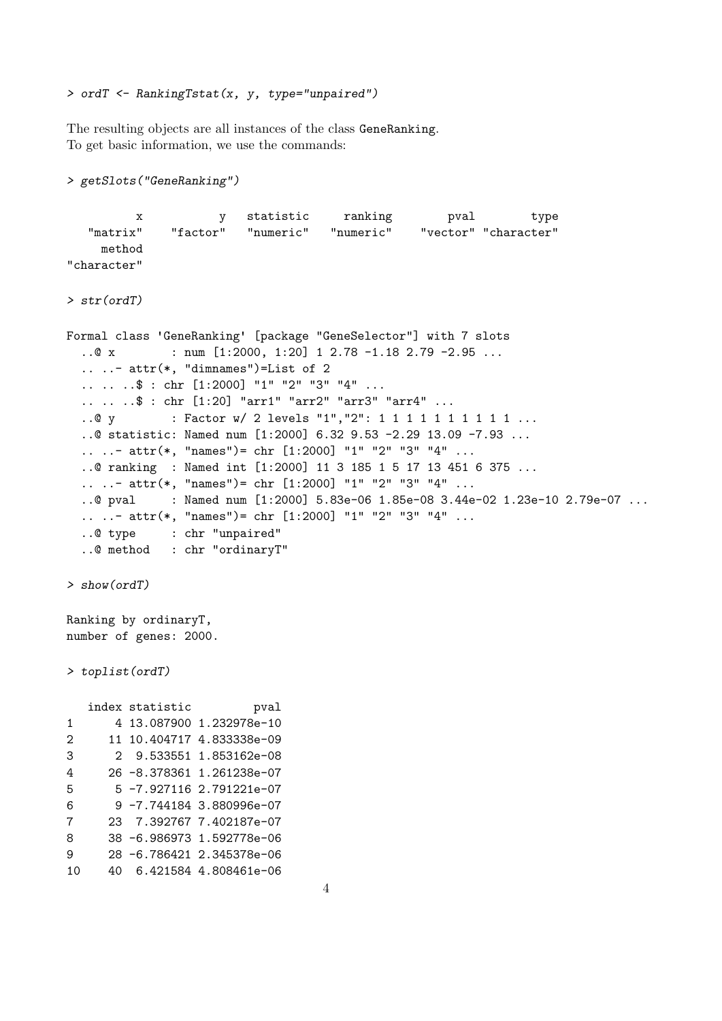> ordT <- RankingTstat(x, y, type="unpaired")

The resulting objects are all instances of the class GeneRanking. To get basic information, we use the commands:

```
> getSlots("GeneRanking")
         x y statistic ranking pval type
   "matrix" "factor" "numeric" "numeric" "vector" "character"
    method
"character"
> str(ordT)
Formal class 'GeneRanking' [package "GeneSelector"] with 7 slots
  .0 x : num [1:2000, 1:20] 1 2.78 -1.18 2.79 -2.95 ...\ldots \ldots - attr(*, "dimnames")=List of 2
  .. .. ..$ : chr [1:2000] "1" "2" "3" "4" ...
  .. .. ..$ : chr [1:20] "arr1" "arr2" "arr3" "arr4" ...
  ..@ y : Factor w/ 2 levels "1", "2": 1 1 1 1 1 1 1 1 1 1 ...
  ..@ statistic: Named num [1:2000] 6.32 9.53 -2.29 13.09 -7.93 ...
  .. ..- attr(*, "names") = chr [1:2000] "1" "2" "3" "4" .....@ ranking : Named int [1:2000] 11 3 185 1 5 17 13 451 6 375 ...
  .. ..- attr(*, "names")= chr [1:2000] "1" "2" "3" "4" ...
  ..@ pval : Named num [1:2000] 5.83e-06 1.85e-08 3.44e-02 1.23e-10 2.79e-07 ...
  .. ..- attr(*, "names")= chr [1:2000] "1" "2" "3" "4" ...
  ..@ type : chr "unpaired"
  ..@ method : chr "ordinaryT"
> show(ordT)
Ranking by ordinaryT,
number of genes: 2000.
> toplist(ordT)
  index statistic by pval
1 4 13.087900 1.232978e-10
2 11 10.404717 4.833338e-09
3 2 9.533551 1.853162e-08
4 26 -8.378361 1.261238e-07
5 5 -7.927116 2.791221e-07
6 9 -7.744184 3.880996e-07
7 23 7.392767 7.402187e-07
8 38 -6.986973 1.592778e-06
9 28 -6.786421 2.345378e-06
10 40 6.421584 4.808461e-06
```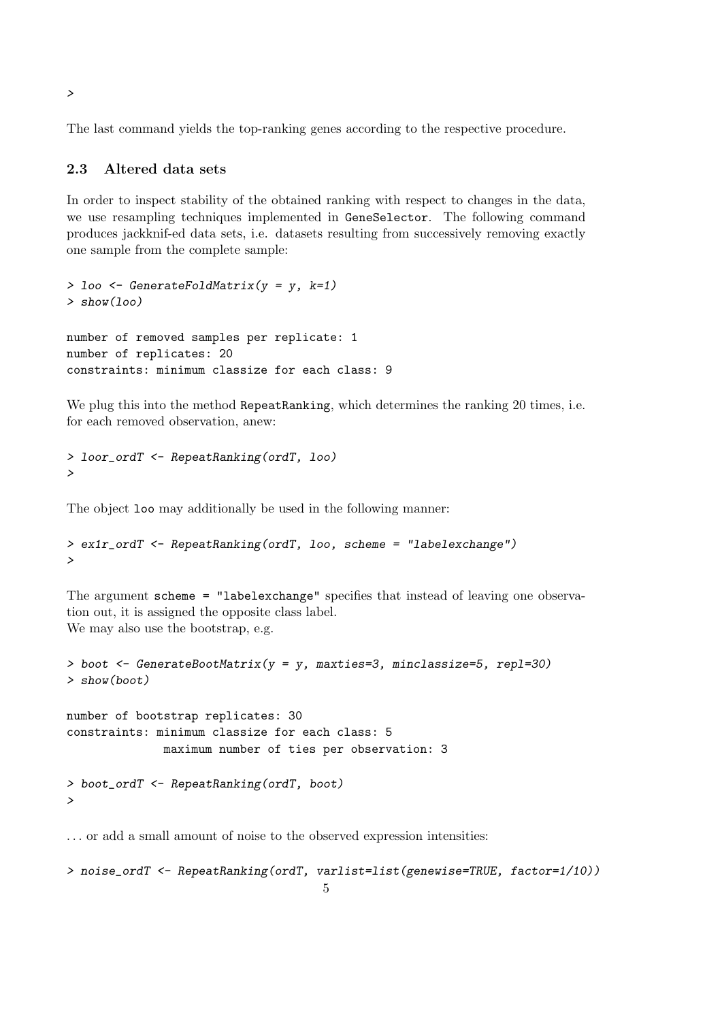The last command yields the top-ranking genes according to the respective procedure.

#### 2.3 Altered data sets

In order to inspect stability of the obtained ranking with respect to changes in the data, we use resampling techniques implemented in GeneSelector. The following command produces jackknif-ed data sets, i.e. datasets resulting from successively removing exactly one sample from the complete sample:

```
> loo \leq GenerateFoldMatrix(y = y, k=1)
> show(100)number of removed samples per replicate: 1
number of replicates: 20
constraints: minimum classize for each class: 9
```
We plug this into the method RepeatRanking, which determines the ranking 20 times, i.e. for each removed observation, anew:

```
> loor_ordT <- RepeatRanking(ordT, loo)
>
```
The object loo may additionally be used in the following manner:

```
> ex1r_ordT <- RepeatRanking(ordT, loo, scheme = "labelexchange")
>
```
The argument scheme = "labelexchange" specifies that instead of leaving one observation out, it is assigned the opposite class label. We may also use the bootstrap, e.g.

```
> boot <- GenerateBootMatrix(y = y, maxties=3, minclassize=5, repl=30)
> show(boot)
```
number of bootstrap replicates: 30 constraints: minimum classize for each class: 5 maximum number of ties per observation: 3 > boot\_ordT <- RepeatRanking(ordT, boot)

>

. . . or add a small amount of noise to the observed expression intensities:

```
> noise_ordT <- RepeatRanking(ordT, varlist=list(genewise=TRUE, factor=1/10))
                                     5
```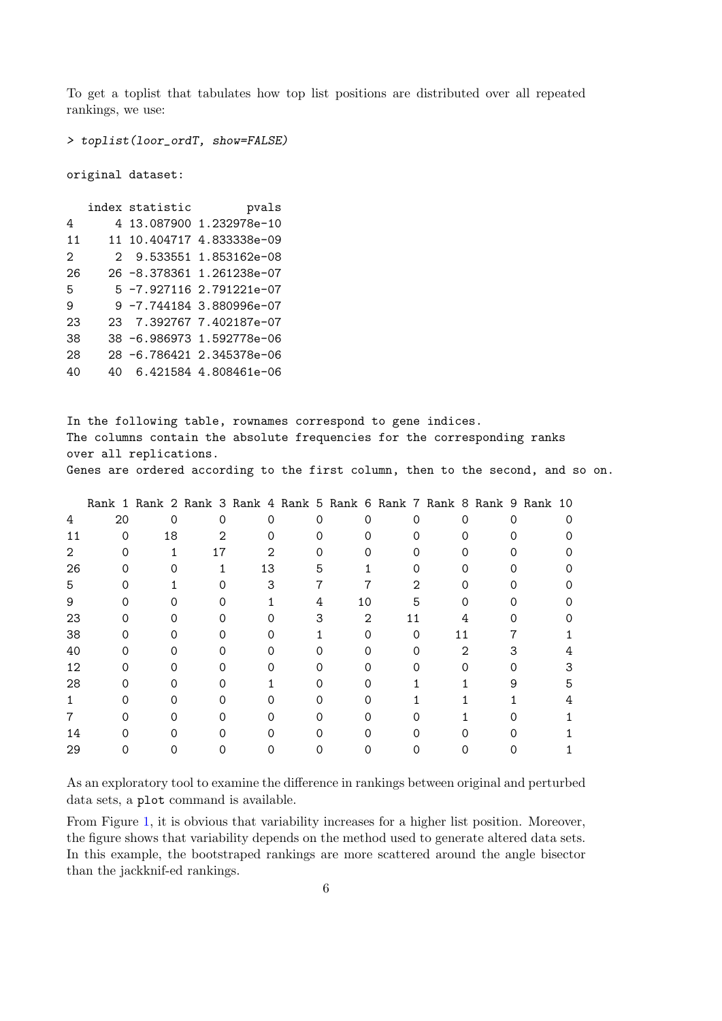To get a toplist that tabulates how top list positions are distributed over all repeated rankings, we use:

> toplist(loor\_ordT, show=FALSE)

original dataset:

|                   | index statistic | pvals                     |
|-------------------|-----------------|---------------------------|
| 4                 |                 | 4 13.087900 1.232978e-10  |
| 11                |                 | 11 10.404717 4.833338e-09 |
| $\mathcal{D}_{1}$ |                 | 2 9.533551 1.853162e-08   |
| 26                |                 | 26 -8.378361 1.261238e-07 |
| 5                 |                 | 5 -7.927116 2.791221e-07  |
| 9                 |                 | 9 -7.744184 3.880996e-07  |
| 23                |                 | 23 7.392767 7.402187e-07  |
| 38                |                 | 38 -6.986973 1.592778e-06 |
| 28                |                 | 28 -6.786421 2.345378e-06 |
| 40                |                 | 6.421584 4.808461e-06     |

In the following table, rownames correspond to gene indices. The columns contain the absolute frequencies for the corresponding ranks over all replications. Genes are ordered according to the first column, then to the second, and so on.

|    |    |    |    |    |   |    |    |   | Rank 1 Rank 2 Rank 3 Rank 4 Rank 5 Rank 6 Rank 7 Rank 8 Rank 9 Rank 10 |
|----|----|----|----|----|---|----|----|---|------------------------------------------------------------------------|
| 4  | 20 | 0  | Ω  | Ω  | Ω |    |    |   |                                                                        |
| 11 | ∩  | 18 | 2  |    |   |    |    |   |                                                                        |
| 2  |    |    | 17 |    |   |    |    |   |                                                                        |
| 26 |    |    |    | 13 | 5 |    |    |   |                                                                        |
| 5  |    |    |    |    |   |    | າ  |   |                                                                        |
| 9  |    |    |    |    | 4 | 10 |    |   |                                                                        |
| 23 |    |    |    |    |   | 2  | 11 |   |                                                                        |
| 38 |    |    |    |    |   |    |    |   |                                                                        |
| 40 |    |    |    |    |   |    |    | 2 |                                                                        |
| 12 |    |    |    |    |   |    |    |   | З                                                                      |
| 28 |    |    |    |    |   |    |    |   | 5                                                                      |
|    |    |    |    |    |   |    |    |   |                                                                        |
|    |    |    |    |    |   |    |    |   |                                                                        |
| 14 |    |    |    |    |   |    |    |   |                                                                        |
| 29 |    |    |    |    |   |    |    |   |                                                                        |
|    |    |    |    |    |   |    |    |   |                                                                        |

As an exploratory tool to examine the difference in rankings between original and perturbed data sets, a plot command is available.

From Figure [1,](#page-6-0) it is obvious that variability increases for a higher list position. Moreover, the figure shows that variability depends on the method used to generate altered data sets. In this example, the bootstraped rankings are more scattered around the angle bisector than the jackknif-ed rankings.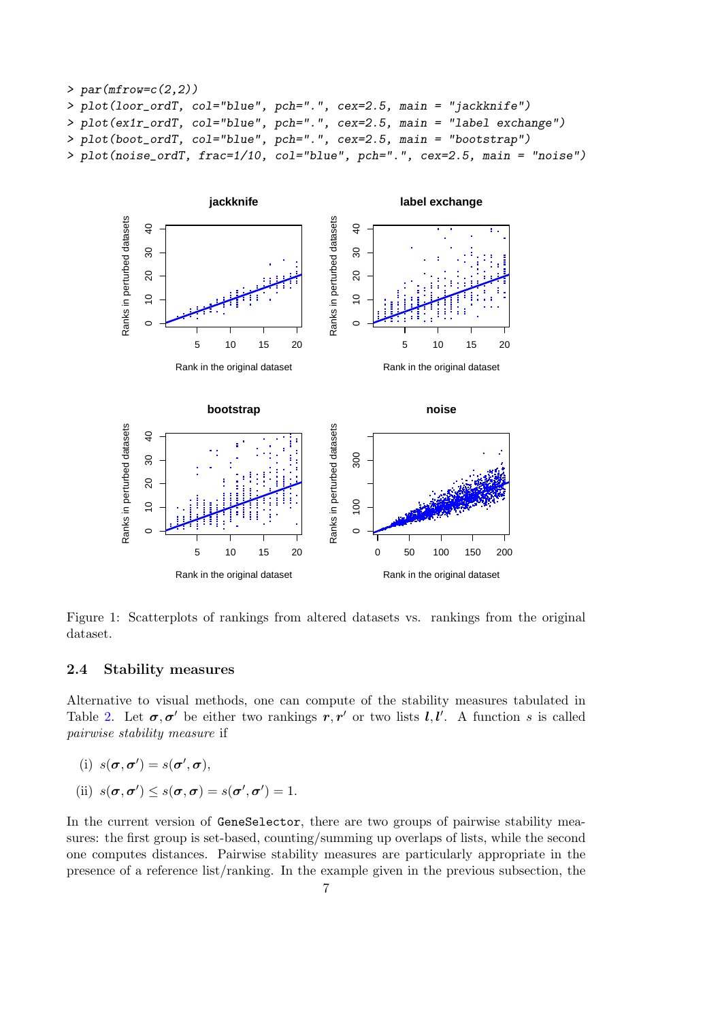```
> par(mfrow=c(2,2))> plot(loor_ordT, col="blue", pch=".", cex=2.5, main = "jackknife")
> plot(ex1r_ordT, col="blue", pch=".", cex=2.5, main = "label exchange")
> plot(boot_ordT, col="blue", pch=".", cex=2.5, main = "bootstrap")
> plot(noise_ordT, frac=1/10, col="blue", pch=".", cex=2.5, main = "noise")
```


<span id="page-6-0"></span>Figure 1: Scatterplots of rankings from altered datasets vs. rankings from the original dataset.

#### 2.4 Stability measures

Alternative to visual methods, one can compute of the stability measures tabulated in Table [2.](#page-7-0) Let  $\sigma, \sigma'$  be either two rankings  $r, r'$  or two lists  $l, l'$ . A function s is called pairwise stability measure if

(i) 
$$
s(\boldsymbol{\sigma}, \boldsymbol{\sigma}') = s(\boldsymbol{\sigma}', \boldsymbol{\sigma}),
$$

(ii) 
$$
s(\boldsymbol{\sigma}, \boldsymbol{\sigma}') \leq s(\boldsymbol{\sigma}, \boldsymbol{\sigma}) = s(\boldsymbol{\sigma}', \boldsymbol{\sigma}') = 1.
$$

In the current version of GeneSelector, there are two groups of pairwise stability measures: the first group is set-based, counting/summing up overlaps of lists, while the second one computes distances. Pairwise stability measures are particularly appropriate in the presence of a reference list/ranking. In the example given in the previous subsection, the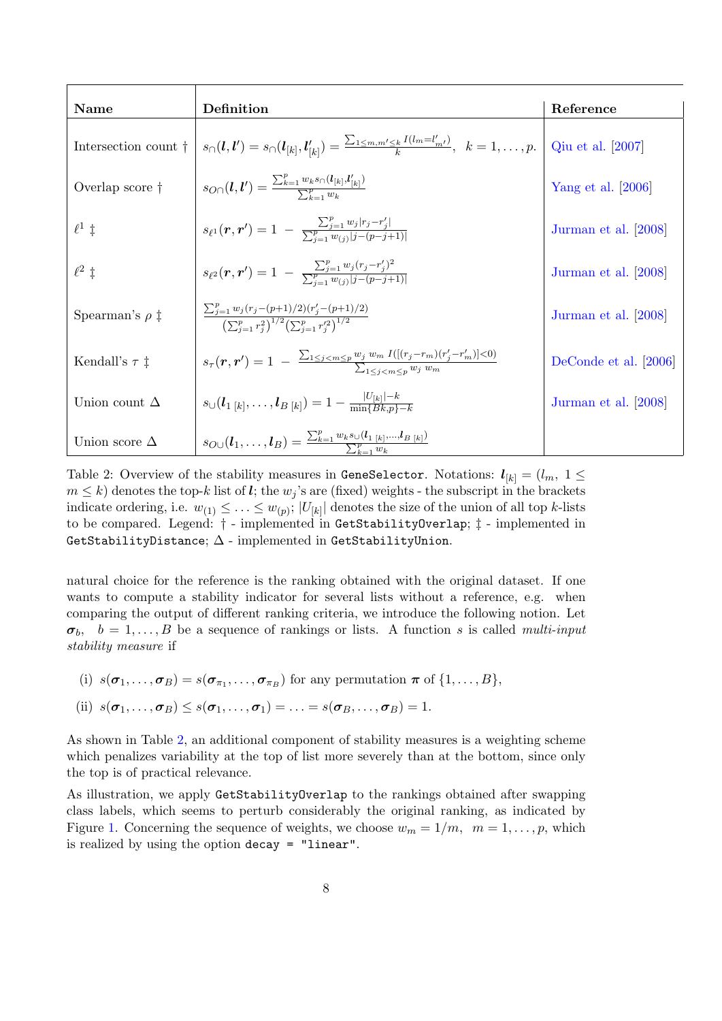| Name                         | Definition                                                                                                                                         | Reference             |
|------------------------------|----------------------------------------------------------------------------------------------------------------------------------------------------|-----------------------|
| Intersection count $\dagger$ | $s_{\cap}(l,l') = s_{\cap}(l_{[k]},l'_{[k]}) = \frac{\sum_{1 \leq m,m' \leq k} I(l_m = l'_{m'})}{k}, \ \ k = 1,\ldots,p.$                          | Qiu et al. [2007]     |
| Overlap score $\dagger$      | $s_{O}(\bm{l}, \bm{l}') = \frac{\sum_{k=1}^{P} w_k s_{\cap}(\bm{l}_{[k]}, \bm{l}'_{[k]})}{\sum_{k=1}^{P} w_k}$                                     | Yang et al. $[2006]$  |
| $\ell^1$ ‡                   | $s_{\ell^1}(\bm{r}, \bm{r}') = 1 - \frac{\sum_{j=1}^r w_j  r_j - r'_j }{\sum_{i=1}^p w_{(i)}  j - (p - j + 1) }$                                   | Jurman et al. [2008]  |
| $\ell^2$ ‡                   | $s_{\ell^2}(\bm{r}, \bm{r}') = 1 - \frac{\sum_{j=1}^p w_j (r_j - r'_j)^2}{\sum_{i=1}^p w_{(i)}  j - (p - j + 1) }$                                 | Jurman et al. [2008]  |
| Spearman's $\rho$ ‡          | $\frac{\sum_{j=1}^p w_j (r_j-(p+1)/2)(r_j'-(p+1)/2)}{\left(\sum_{j=1}^p r_j^2\right)^{1/2}\left(\sum_{j=1}^p r_j'^2\right)^{1/2}}$                 | Jurman et al. [2008]  |
| Kendall's $\tau$ ‡           | $s_{\tau}(\mathbf{r},\mathbf{r}')=1 - \frac{\sum_{1 \leq j < m \leq p} w_j w_m I([(r_j-r_m)(r'_j-r'_m)] < 0)}{\sum_{1 \leq j < m \leq n} w_j w_m}$ | DeConde et al. [2006] |
| Union count $\Delta$         | $s_{\cup}(l_{1 [k]}, \ldots, l_{B [k]}) = 1 - \frac{ U_{[k]}  - k}{\min\{Rk, n\} - k}$                                                             | Jurman et al. [2008]  |
| Union score $\Delta$         | $s_{O\cup}(l_1,\ldots,l_B) = \frac{\sum_{k=1}^{P} w_k s_{\cup} (l_{1 [k]},,l_{B [k]})}{\sum_{k=1}^{P} w_k}$                                        |                       |

<span id="page-7-0"></span>Table 2: Overview of the stability measures in GeneSelector. Notations:  $l_{[k]} = (l_m, 1 \leq$  $m \leq k$ ) denotes the top-k list of l; the  $w_j$ 's are (fixed) weights - the subscript in the brackets indicate ordering, i.e.  $w_{(1)} \leq \ldots \leq w_{(p)}$ ;  $|U_{[k]}|$  denotes the size of the union of all top k-lists to be compared. Legend: † - implemented in GetStabilityOverlap; ‡ - implemented in GetStabilityDistance;  $\Delta$  - implemented in GetStabilityUnion.

natural choice for the reference is the ranking obtained with the original dataset. If one wants to compute a stability indicator for several lists without a reference, e.g. when comparing the output of different ranking criteria, we introduce the following notion. Let  $\sigma_b$ ,  $b = 1, \ldots, B$  be a sequence of rankings or lists. A function s is called multi-input stability measure if

(i)  $s(\sigma_1, \ldots, \sigma_B) = s(\sigma_{\pi_1}, \ldots, \sigma_{\pi_B})$  for any permutation  $\pi$  of  $\{1, \ldots, B\}$ , (ii)  $s(\sigma_1, \ldots, \sigma_B) \leq s(\sigma_1, \ldots, \sigma_1) = \ldots = s(\sigma_B, \ldots, \sigma_B) = 1.$ 

As shown in Table [2,](#page-7-0) an additional component of stability measures is a weighting scheme which penalizes variability at the top of list more severely than at the bottom, since only the top is of practical relevance.

As illustration, we apply GetStabilityOverlap to the rankings obtained after swapping class labels, which seems to perturb considerably the original ranking, as indicated by Figure [1.](#page-6-0) Concerning the sequence of weights, we choose  $w_m = 1/m$ ,  $m = 1, \ldots, p$ , which is realized by using the option decay = "linear".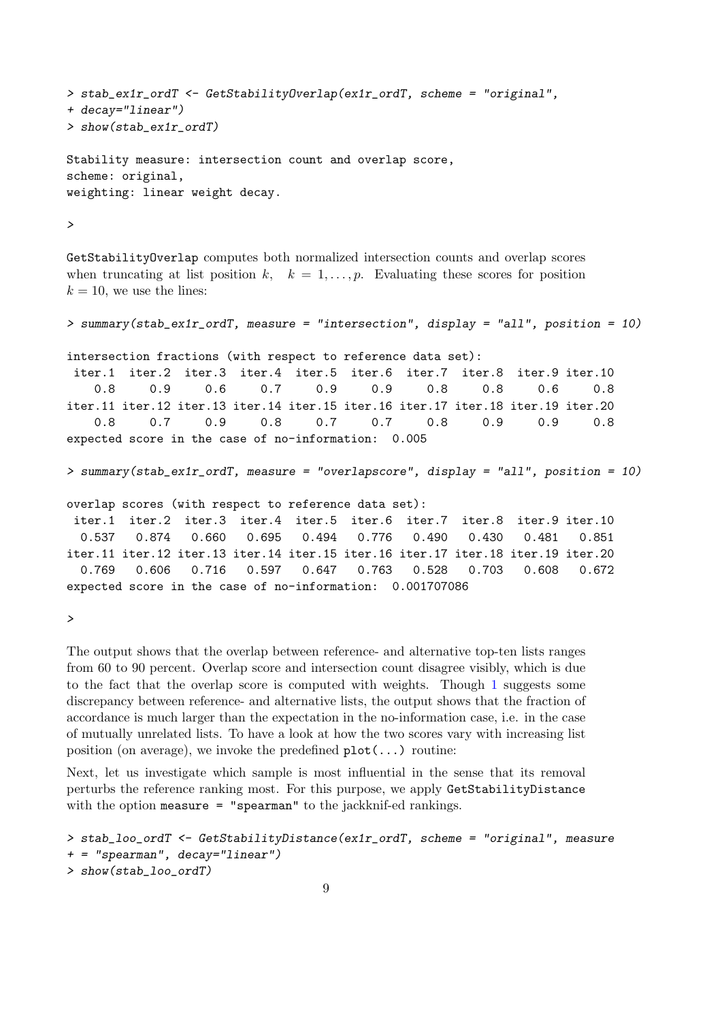```
> stab_ex1r_ordT <- GetStabilityOverlap(ex1r_ordT, scheme = "original",
+ decay="linear")
> show(stab_ex1r_ordT)
Stability measure: intersection count and overlap score,
scheme: original,
weighting: linear weight decay.
```
>

GetStabilityOverlap computes both normalized intersection counts and overlap scores when truncating at list position k,  $k = 1, \ldots, p$ . Evaluating these scores for position  $k = 10$ , we use the lines:

> summary(stab\_ex1r\_ordT, measure = "intersection", display = "all", position = 10) intersection fractions (with respect to reference data set): iter.1 iter.2 iter.3 iter.4 iter.5 iter.6 iter.7 iter.8 iter.9 iter.10 0.8 0.9 0.6 0.7 0.9 0.9 0.8 0.8 0.6 0.8 iter.11 iter.12 iter.13 iter.14 iter.15 iter.16 iter.17 iter.18 iter.19 iter.20 0.8 0.7 0.9 0.8 0.7 0.7 0.8 0.9 0.9 0.8 expected score in the case of no-information: 0.005 > summary(stab\_ex1r\_ordT, measure = "overlapscore", display = "all", position = 10) overlap scores (with respect to reference data set):

iter.1 iter.2 iter.3 iter.4 iter.5 iter.6 iter.7 iter.8 iter.9 iter.10 0.537 0.874 0.660 0.695 0.494 0.776 0.490 0.430 0.481 0.851 iter.11 iter.12 iter.13 iter.14 iter.15 iter.16 iter.17 iter.18 iter.19 iter.20 0.769 0.606 0.716 0.597 0.647 0.763 0.528 0.703 0.608 0.672 expected score in the case of no-information: 0.001707086

>

The output shows that the overlap between reference- and alternative top-ten lists ranges from 60 to 90 percent. Overlap score and intersection count disagree visibly, which is due to the fact that the overlap score is computed with weights. Though [1](#page-6-0) suggests some discrepancy between reference- and alternative lists, the output shows that the fraction of accordance is much larger than the expectation in the no-information case, i.e. in the case of mutually unrelated lists. To have a look at how the two scores vary with increasing list position (on average), we invoke the predefined  $plot(\ldots)$  routine:

Next, let us investigate which sample is most influential in the sense that its removal perturbs the reference ranking most. For this purpose, we apply GetStabilityDistance with the option measure = "spearman" to the jackknif-ed rankings.

```
> stab_loo_ordT <- GetStabilityDistance(ex1r_ordT, scheme = "original", measure
+ = "spearman", decay="linear")
> show(stab_loo_ordT)
```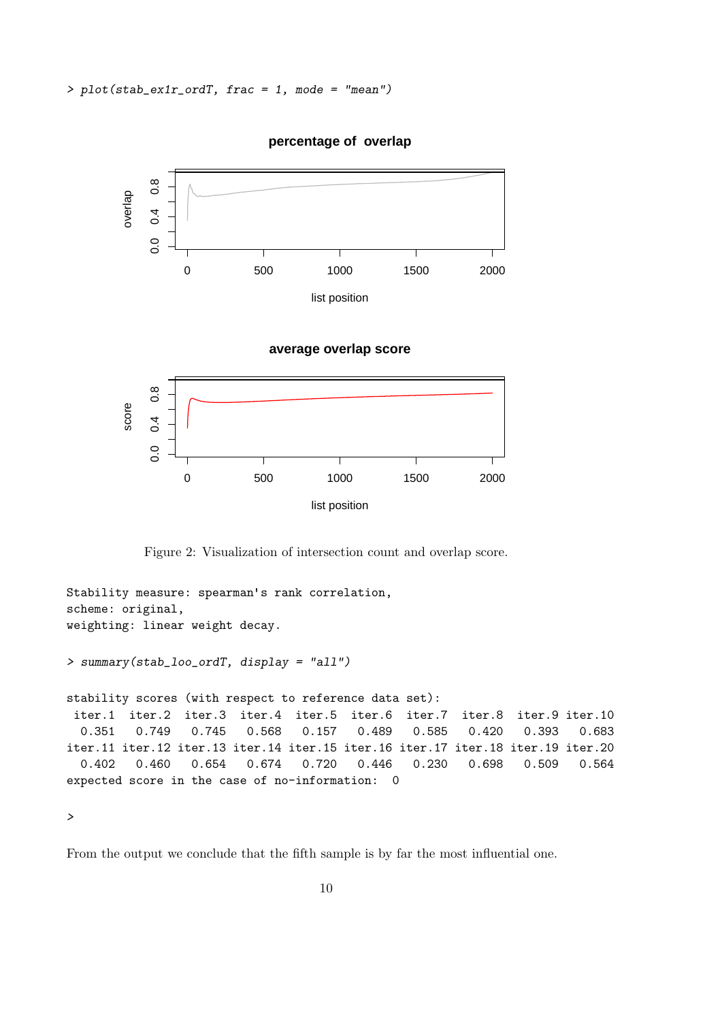

#### **percentage of overlap**

```
average overlap score
```


Figure 2: Visualization of intersection count and overlap score.

```
Stability measure: spearman's rank correlation,
scheme: original,
weighting: linear weight decay.
> summary(stab_loo_ordT, display = "all")
stability scores (with respect to reference data set):
iter.1 iter.2 iter.3 iter.4 iter.5 iter.6 iter.7 iter.8 iter.9 iter.10
  0.351 0.749 0.745 0.568 0.157 0.489 0.585 0.420 0.393 0.683
iter.11 iter.12 iter.13 iter.14 iter.15 iter.16 iter.17 iter.18 iter.19 iter.20
  0.402 0.460 0.654 0.674 0.720 0.446 0.230 0.698 0.509 0.564
expected score in the case of no-information: 0
```
>

From the output we conclude that the fifth sample is by far the most influential one.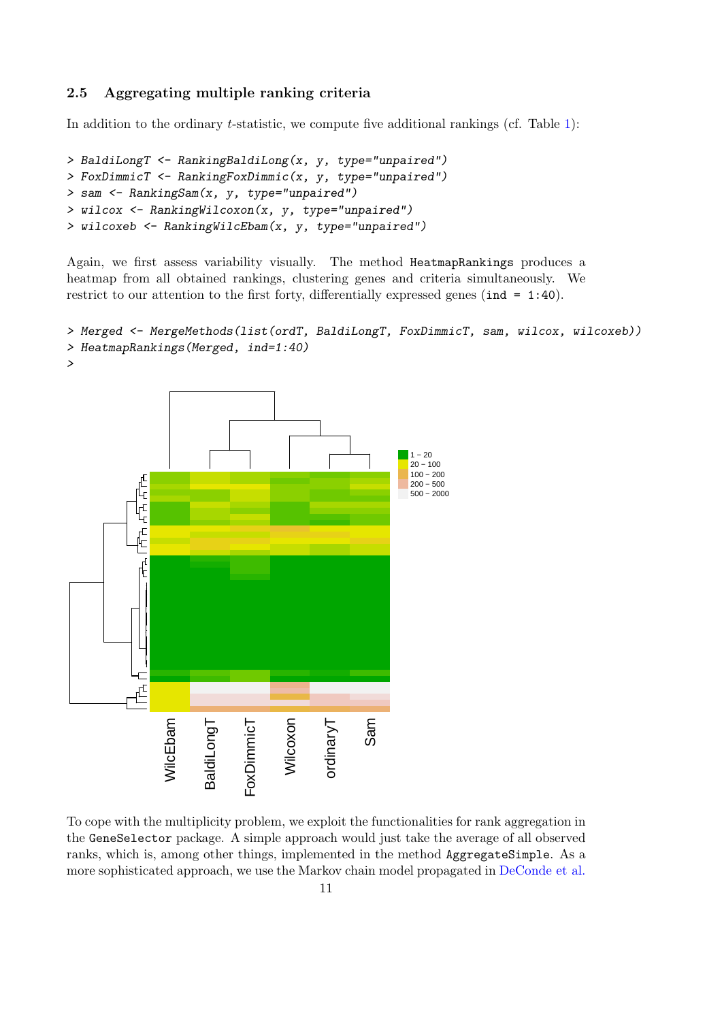### 2.5 Aggregating multiple ranking criteria

In addition to the ordinary  $t$ -statistic, we compute five additional rankings (cf. Table [1\)](#page-1-0):

```
> BaldiLongT <- RankingBaldiLong(x, y, type="unpaired")
> FoxDimmicT <- RankingFoxDimmic(x, y, type="unpaired")
> sam <- RankingSam(x, y, type="unpaired")
> wilcox <- RankingWilcoxon(x, y, type="unpaired")
> wilcoxeb <- RankingWilcEbam(x, y, type="unpaired")
```
Again, we first assess variability visually. The method HeatmapRankings produces a heatmap from all obtained rankings, clustering genes and criteria simultaneously. We restrict to our attention to the first forty, differentially expressed genes (ind = 1:40).

```
> Merged <- MergeMethods(list(ordT, BaldiLongT, FoxDimmicT, sam, wilcox, wilcoxeb))
> HeatmapRankings(Merged, ind=1:40)
```


To cope with the multiplicity problem, we exploit the functionalities for rank aggregation in the GeneSelector package. A simple approach would just take the average of all observed ranks, which is, among other things, implemented in the method AggregateSimple. As a more sophisticated approach, we use the Markov chain model propagated in [DeConde et al.](#page-13-12)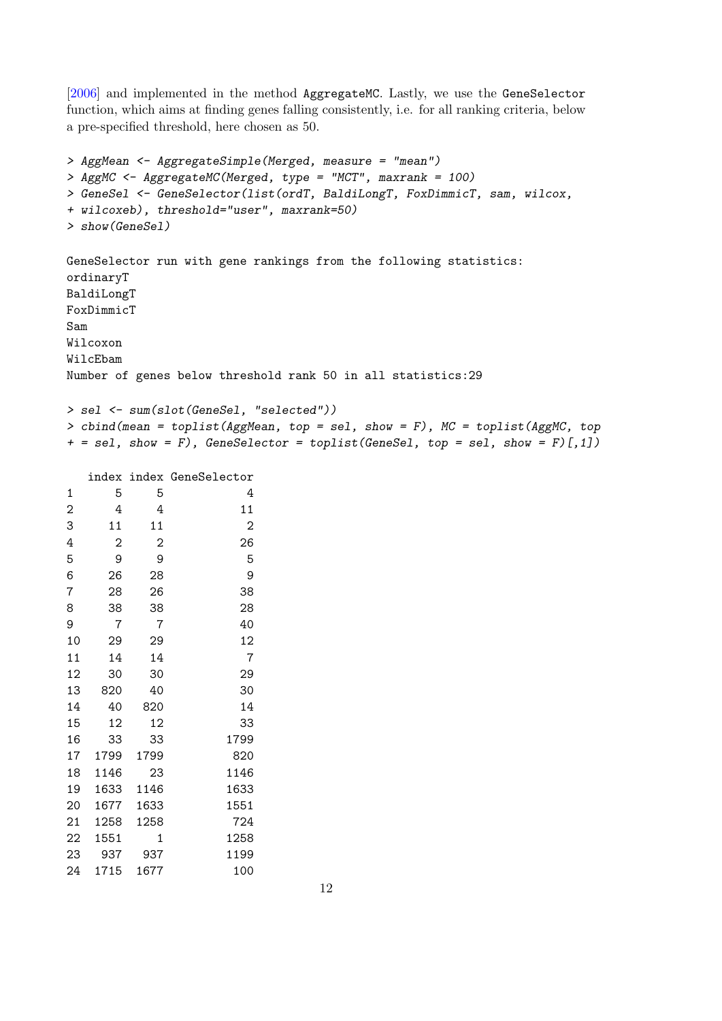[\[2006\]](#page-13-12) and implemented in the method AggregateMC. Lastly, we use the GeneSelector function, which aims at finding genes falling consistently, i.e. for all ranking criteria, below a pre-specified threshold, here chosen as 50.

```
> AggMean <- AggregateSimple(Merged, measure = "mean")
> AggMC <- AggregateMC(Merged, type = "MCT", maxrank = 100)
> GeneSel <- GeneSelector(list(ordT, BaldiLongT, FoxDimmicT, sam, wilcox,
+ wilcoxeb), threshold="user", maxrank=50)
> show(GeneSel)
GeneSelector run with gene rankings from the following statistics:
ordinaryT
BaldiLongT
FoxDimmicT
Sam
Wilcoxon
WilcEbam
Number of genes below threshold rank 50 in all statistics:29
> sel <- sum(slot(GeneSel, "selected"))
> cbind(mean = toplist(AggMean, top = sel, show = F), MC = toplist(AggMC, top
+ = sel, show = F), GeneSelector = toplist(GeneSel, top = sel, show = F)[,1])
```
index index GeneSelector

| 1              | 5              | 5              | 4    |
|----------------|----------------|----------------|------|
| $\overline{c}$ | 4              | 4              | 11   |
| 3              | 11             | 11             | 2    |
| 4              | $\overline{2}$ | $\overline{2}$ | 26   |
| 5              | 9              | 9              | 5    |
| 6              | 26             | 28             | 9    |
| 7              | 28             | 26             | 38   |
| 8              | 38             | 38             | 28   |
| 9              | 7              | 7              | 40   |
| 10             | 29             | 29             | 12   |
| 11             | 14             | 14             | 7    |
| 12             | 30             | 30             | 29   |
| 13             | 820            | 40             | 30   |
| 14             | 40             | 820            | 14   |
| 15             | 12             | 12             | 33   |
| 16             | 33             | 33             | 1799 |
| 17             | 1799           | 1799           | 820  |
| 18             | 1146           | 23             | 1146 |
| 19             | 1633           | 1146           | 1633 |
| 20             | 1677           | 1633           | 1551 |
| 21             | 1258           | 1258           | 724  |
| 22             | 1551           | 1              | 1258 |
| 23             | 937            | 937            | 1199 |
| 24             | 1715           | 1677           | 100  |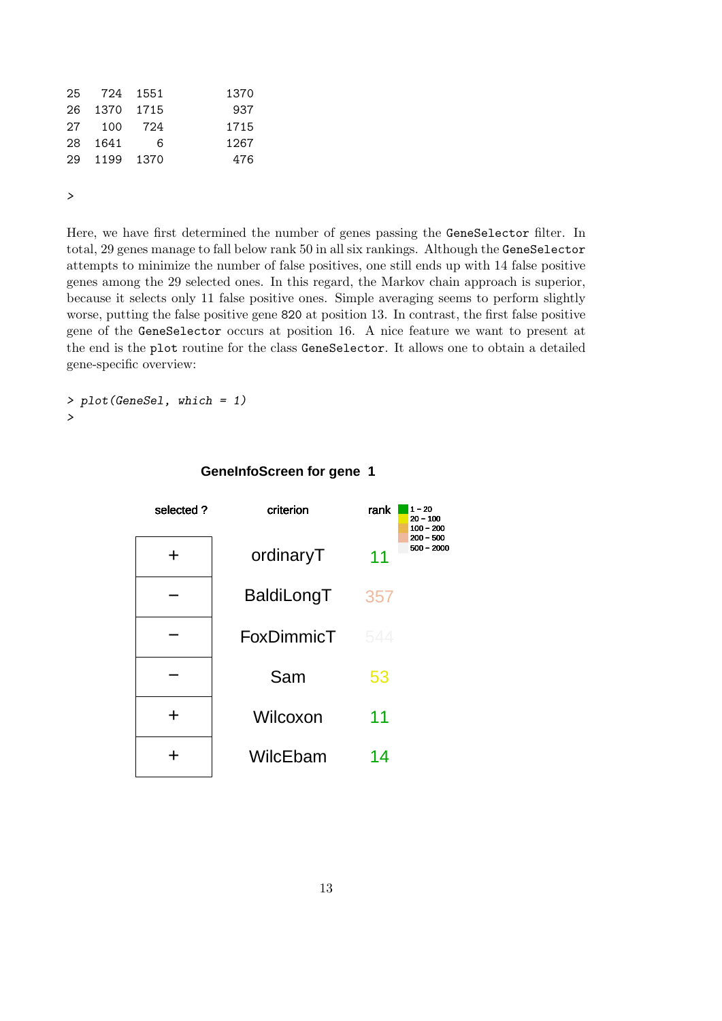|     | 25 724 1551 |     | 1370 |
|-----|-------------|-----|------|
| 26  | 1370 1715   |     | 937  |
| 27  | 100         | 724 | 1715 |
| 28. | 1641        | 6   | 1267 |
| 29. | 1199 1370   |     | 476  |
|     |             |     |      |

>

Here, we have first determined the number of genes passing the GeneSelector filter. In total, 29 genes manage to fall below rank 50 in all six rankings. Although the GeneSelector attempts to minimize the number of false positives, one still ends up with 14 false positive genes among the 29 selected ones. In this regard, the Markov chain approach is superior, because it selects only 11 false positive ones. Simple averaging seems to perform slightly worse, putting the false positive gene 820 at position 13. In contrast, the first false positive gene of the GeneSelector occurs at position 16. A nice feature we want to present at the end is the plot routine for the class GeneSelector. It allows one to obtain a detailed gene-specific overview:

> plot(GeneSel, which = 1) >



#### **GeneInfoScreen for gene 1**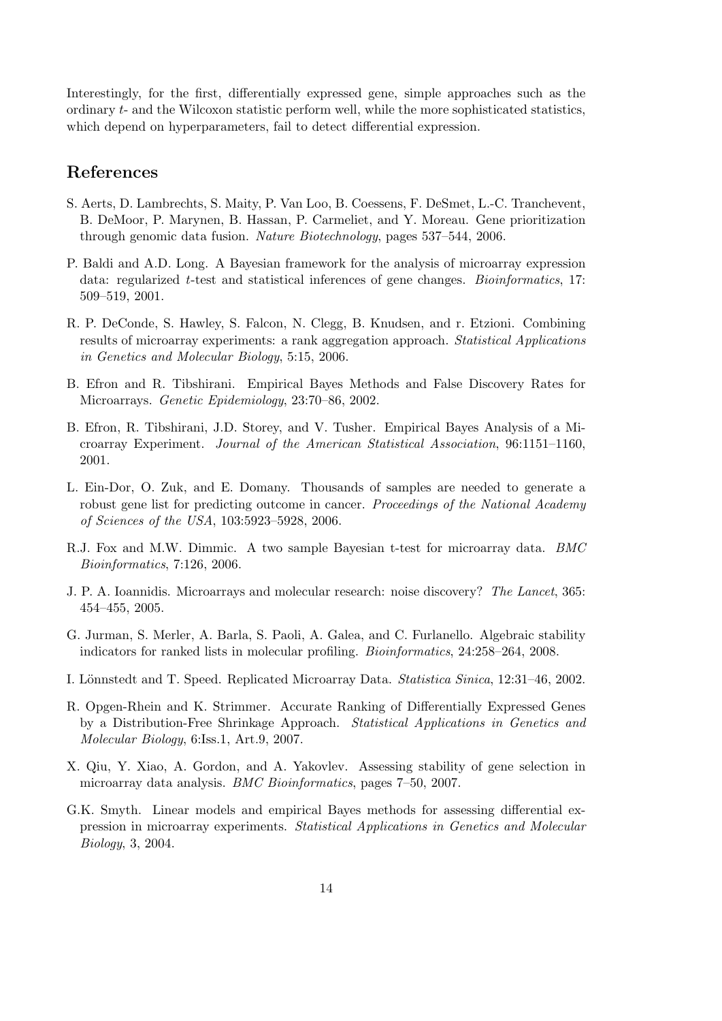Interestingly, for the first, differentially expressed gene, simple approaches such as the ordinary t- and the Wilcoxon statistic perform well, while the more sophisticated statistics, which depend on hyperparameters, fail to detect differential expression.

### References

- <span id="page-13-0"></span>S. Aerts, D. Lambrechts, S. Maity, P. Van Loo, B. Coessens, F. DeSmet, L.-C. Tranchevent, B. DeMoor, P. Marynen, B. Hassan, P. Carmeliet, and Y. Moreau. Gene prioritization through genomic data fusion. Nature Biotechnology, pages 537–544, 2006.
- <span id="page-13-4"></span>P. Baldi and A.D. Long. A Bayesian framework for the analysis of microarray expression data: regularized  $t$ -test and statistical inferences of gene changes. *Bioinformatics*, 17: 509–519, 2001.
- <span id="page-13-12"></span>R. P. DeConde, S. Hawley, S. Falcon, N. Clegg, B. Knudsen, and r. Etzioni. Combining results of microarray experiments: a rank aggregation approach. Statistical Applications in Genetics and Molecular Biology, 5:15, 2006.
- <span id="page-13-10"></span>B. Efron and R. Tibshirani. Empirical Bayes Methods and False Discovery Rates for Microarrays. Genetic Epidemiology, 23:70–86, 2002.
- <span id="page-13-9"></span>B. Efron, R. Tibshirani, J.D. Storey, and V. Tusher. Empirical Bayes Analysis of a Microarray Experiment. Journal of the American Statistical Association, 96:1151–1160, 2001.
- <span id="page-13-2"></span>L. Ein-Dor, O. Zuk, and E. Domany. Thousands of samples are needed to generate a robust gene list for predicting outcome in cancer. Proceedings of the National Academy of Sciences of the USA, 103:5923–5928, 2006.
- <span id="page-13-5"></span>R.J. Fox and M.W. Dimmic. A two sample Bayesian t-test for microarray data. BMC Bioinformatics, 7:126, 2006.
- <span id="page-13-1"></span>J. P. A. Ioannidis. Microarrays and molecular research: noise discovery? The Lancet, 365: 454–455, 2005.
- <span id="page-13-11"></span>G. Jurman, S. Merler, A. Barla, S. Paoli, A. Galea, and C. Furlanello. Algebraic stability indicators for ranked lists in molecular profiling. Bioinformatics, 24:258–264, 2008.
- <span id="page-13-8"></span>I. Lönnstedt and T. Speed. Replicated Microarray Data. Statistica Sinica, 12:31–46, 2002.
- <span id="page-13-6"></span>R. Opgen-Rhein and K. Strimmer. Accurate Ranking of Differentially Expressed Genes by a Distribution-Free Shrinkage Approach. Statistical Applications in Genetics and Molecular Biology, 6:Iss.1, Art.9, 2007.
- <span id="page-13-3"></span>X. Qiu, Y. Xiao, A. Gordon, and A. Yakovlev. Assessing stability of gene selection in microarray data analysis. BMC Bioinformatics, pages 7–50, 2007.
- <span id="page-13-7"></span>G.K. Smyth. Linear models and empirical Bayes methods for assessing differential expression in microarray experiments. Statistical Applications in Genetics and Molecular Biology, 3, 2004.